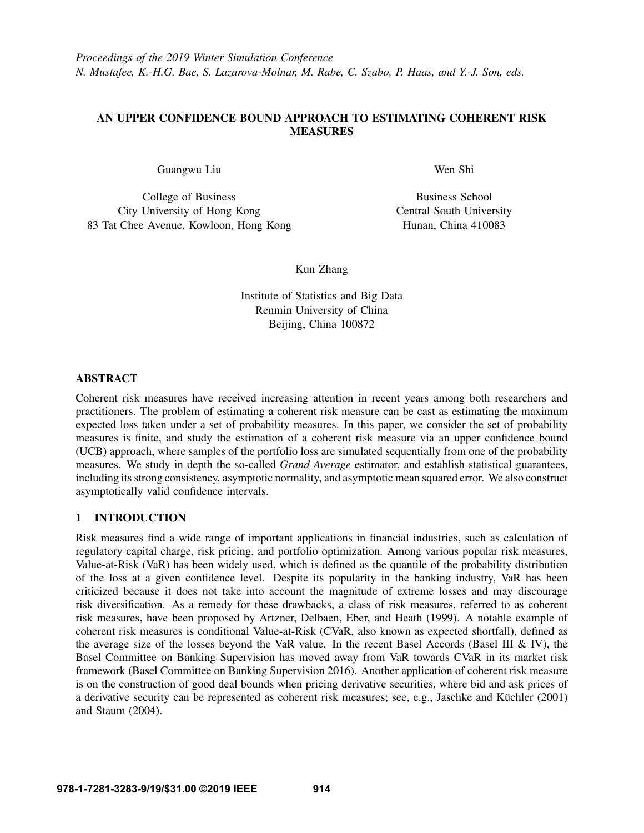# AN UPPER CONFIDENCE BOUND APPROACH TO ESTIMATING COHERENT RISK **MEASURES**

Guangwu Liu

College of Business City University of Hong Kong 83 Tat Chee Avenue, Kowloon, Hong Kong Wen Shi

Business School Central South University Hunan, China 410083

Kun Zhang

Institute of Statistics and Big Data Renmin University of China Beijing, China 100872

# ABSTRACT

Coherent risk measures have received increasing attention in recent years among both researchers and practitioners. The problem of estimating a coherent risk measure can be cast as estimating the maximum expected loss taken under a set of probability measures. In this paper, we consider the set of probability measures is finite, and study the estimation of a coherent risk measure via an upper confidence bound (UCB) approach, where samples of the portfolio loss are simulated sequentially from one of the probability measures. We study in depth the so-called *Grand Average* estimator, and establish statistical guarantees, including its strong consistency, asymptotic normality, and asymptotic mean squared error. We also construct asymptotically valid confidence intervals.

# 1 INTRODUCTION

Risk measures find a wide range of important applications in financial industries, such as calculation of regulatory capital charge, risk pricing, and portfolio optimization. Among various popular risk measures, Value-at-Risk (VaR) has been widely used, which is defined as the quantile of the probability distribution of the loss at a given confidence level. Despite its popularity in the banking industry, VaR has been criticized because it does not take into account the magnitude of extreme losses and may discourage risk diversification. As a remedy for these drawbacks, a class of risk measures, referred to as coherent risk measures, have been proposed by [Artzner, Delbaen, Eber, and Heath \(1999\).](#page-11-0) A notable example of coherent risk measures is conditional Value-at-Risk (CVaR, also known as expected shortfall), defined as the average size of the losses beyond the VaR value. In the recent Basel Accords (Basel III  $\&$  IV), the Basel Committee on Banking Supervision has moved away from VaR towards CVaR in its market risk framework [\(Basel Committee on Banking Supervision 2016\)](#page-11-1). Another application of coherent risk measure is on the construction of good deal bounds when pricing derivative securities, where bid and ask prices of a derivative security can be represented as coherent risk measures; see, e.g., Jaschke and Küchler  $(2001)$ and [Staum \(2004\).](#page-11-3)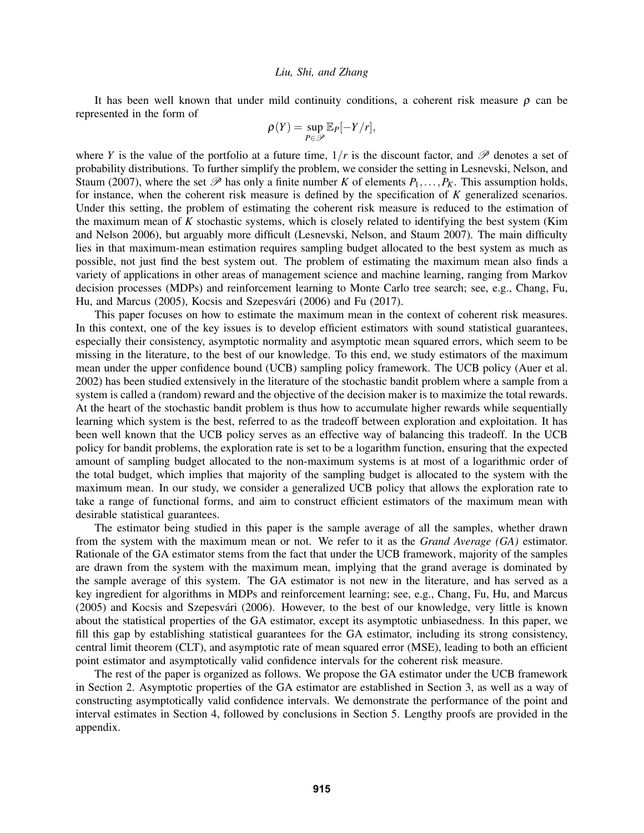It has been well known that under mild continuity conditions, a coherent risk measure  $\rho$  can be represented in the form of

$$
\rho(Y) = \sup_{P \in \mathscr{P}} \mathbb{E}_P[-Y/r],
$$

where *Y* is the value of the portfolio at a future time,  $1/r$  is the discount factor, and  $\mathscr P$  denotes a set of probability distributions. To further simplify the problem, we consider the setting in [Lesnevski, Nelson, and](#page-11-4) [Staum \(2007\),](#page-11-4) where the set  $\mathscr{P}$  has only a finite number *K* of elements  $P_1, \ldots, P_K$ . This assumption holds, for instance, when the coherent risk measure is defined by the specification of *K* generalized scenarios. Under this setting, the problem of estimating the coherent risk measure is reduced to the estimation of the maximum mean of *K* stochastic systems, which is closely related to identifying the best system [\(Kim](#page-11-5) [and Nelson 2006\)](#page-11-5), but arguably more difficult [\(Lesnevski, Nelson, and Staum 2007\)](#page-11-4). The main difficulty lies in that maximum-mean estimation requires sampling budget allocated to the best system as much as possible, not just find the best system out. The problem of estimating the maximum mean also finds a variety of applications in other areas of management science and machine learning, ranging from Markov decision processes (MDPs) and reinforcement learning to Monte Carlo tree search; see, e.g., [Chang, Fu,](#page-11-6) [Hu, and Marcus \(2005\),](#page-11-6) Kocsis and Szepesvári (2006) and [Fu \(2017\).](#page-11-8)

This paper focuses on how to estimate the maximum mean in the context of coherent risk measures. In this context, one of the key issues is to develop efficient estimators with sound statistical guarantees, especially their consistency, asymptotic normality and asymptotic mean squared errors, which seem to be missing in the literature, to the best of our knowledge. To this end, we study estimators of the maximum mean under the upper confidence bound (UCB) sampling policy framework. The UCB policy (Auer et al. 2002) has been studied extensively in the literature of the stochastic bandit problem where a sample from a system is called a (random) reward and the objective of the decision maker is to maximize the total rewards. At the heart of the stochastic bandit problem is thus how to accumulate higher rewards while sequentially learning which system is the best, referred to as the tradeoff between exploration and exploitation. It has been well known that the UCB policy serves as an effective way of balancing this tradeoff. In the UCB policy for bandit problems, the exploration rate is set to be a logarithm function, ensuring that the expected amount of sampling budget allocated to the non-maximum systems is at most of a logarithmic order of the total budget, which implies that majority of the sampling budget is allocated to the system with the maximum mean. In our study, we consider a generalized UCB policy that allows the exploration rate to take a range of functional forms, and aim to construct efficient estimators of the maximum mean with desirable statistical guarantees.

The estimator being studied in this paper is the sample average of all the samples, whether drawn from the system with the maximum mean or not. We refer to it as the *Grand Average (GA)* estimator. Rationale of the GA estimator stems from the fact that under the UCB framework, majority of the samples are drawn from the system with the maximum mean, implying that the grand average is dominated by the sample average of this system. The GA estimator is not new in the literature, and has served as a key ingredient for algorithms in MDPs and reinforcement learning; see, e.g., [Chang, Fu, Hu, and Marcus](#page-11-6) [\(2005\)](#page-11-6) and Kocsis and Szepesvári (2006). However, to the best of our knowledge, very little is known about the statistical properties of the GA estimator, except its asymptotic unbiasedness. In this paper, we fill this gap by establishing statistical guarantees for the GA estimator, including its strong consistency, central limit theorem (CLT), and asymptotic rate of mean squared error (MSE), leading to both an efficient point estimator and asymptotically valid confidence intervals for the coherent risk measure.

The rest of the paper is organized as follows. We propose the GA estimator under the UCB framework in Section [2.](#page-2-0) Asymptotic properties of the GA estimator are established in Section [3,](#page-4-0) as well as a way of constructing asymptotically valid confidence intervals. We demonstrate the performance of the point and interval estimates in Section [4,](#page-6-0) followed by conclusions in Section [5.](#page-7-0) Lengthy proofs are provided in the appendix.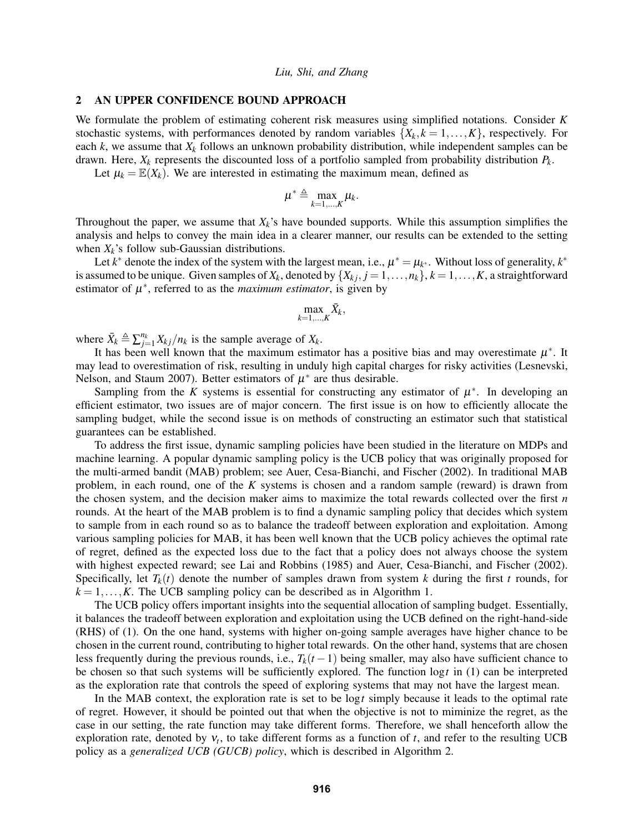### <span id="page-2-0"></span>2 AN UPPER CONFIDENCE BOUND APPROACH

We formulate the problem of estimating coherent risk measures using simplified notations. Consider *K* stochastic systems, with performances denoted by random variables  $\{X_k, k = 1, \ldots, K\}$ , respectively. For each  $k$ , we assume that  $X_k$  follows an unknown probability distribution, while independent samples can be drawn. Here, *X<sup>k</sup>* represents the discounted loss of a portfolio sampled from probability distribution *Pk*.

Let  $\mu_k = \mathbb{E}(X_k)$ . We are interested in estimating the maximum mean, defined as

$$
\mu^* \triangleq \max_{k=1,\dots,K} \mu_k.
$$

Throughout the paper, we assume that  $X_k$ 's have bounded supports. While this assumption simplifies the analysis and helps to convey the main idea in a clearer manner, our results can be extended to the setting when  $X_k$ 's follow sub-Gaussian distributions.

Let  $k^*$  denote the index of the system with the largest mean, i.e.,  $\mu^* = \mu_{k^*}$ . Without loss of generality,  $k^*$ is assumed to be unique. Given samples of  $X_k$ , denoted by  $\{X_{kj}, j = 1, \ldots, n_k\}$ ,  $k = 1, \ldots, K$ , a straightforward estimator of  $\mu^*$ , referred to as the *maximum estimator*, is given by

$$
\max_{k=1,\ldots,K} \bar{X}_k,
$$

where  $\bar{X}_k \triangleq \sum_{j=1}^{n_k} X_{kj} / n_k$  is the sample average of  $X_k$ .

It has been well known that the maximum estimator has a positive bias and may overestimate  $\mu^*$ . It may lead to overestimation of risk, resulting in unduly high capital charges for risky activities [\(Lesnevski,](#page-11-4) [Nelson, and Staum 2007\)](#page-11-4). Better estimators of  $\mu^*$  are thus desirable.

Sampling from the *K* systems is essential for constructing any estimator of  $\mu^*$ . In developing an efficient estimator, two issues are of major concern. The first issue is on how to efficiently allocate the sampling budget, while the second issue is on methods of constructing an estimator such that statistical guarantees can be established.

To address the first issue, dynamic sampling policies have been studied in the literature on MDPs and machine learning. A popular dynamic sampling policy is the UCB policy that was originally proposed for the multi-armed bandit (MAB) problem; see [Auer, Cesa-Bianchi, and Fischer \(2002\).](#page-11-9) In traditional MAB problem, in each round, one of the *K* systems is chosen and a random sample (reward) is drawn from the chosen system, and the decision maker aims to maximize the total rewards collected over the first *n* rounds. At the heart of the MAB problem is to find a dynamic sampling policy that decides which system to sample from in each round so as to balance the tradeoff between exploration and exploitation. Among various sampling policies for MAB, it has been well known that the UCB policy achieves the optimal rate of regret, defined as the expected loss due to the fact that a policy does not always choose the system with highest expected reward; see [Lai and Robbins \(1985\)](#page-11-10) and [Auer, Cesa-Bianchi, and Fischer \(2002\).](#page-11-9) Specifically, let  $T_k(t)$  denote the number of samples drawn from system *k* during the first *t* rounds, for  $k = 1, \ldots, K$ . The UCB sampling policy can be described as in Algorithm 1.

The UCB policy offers important insights into the sequential allocation of sampling budget. Essentially, it balances the tradeoff between exploration and exploitation using the UCB defined on the right-hand-side (RHS) of [\(1\)](#page-3-0). On the one hand, systems with higher on-going sample averages have higher chance to be chosen in the current round, contributing to higher total rewards. On the other hand, systems that are chosen less frequently during the previous rounds, i.e.,  $T_k(t-1)$  being smaller, may also have sufficient chance to be chosen so that such systems will be sufficiently explored. The function log*t* in [\(1\)](#page-3-0) can be interpreted as the exploration rate that controls the speed of exploring systems that may not have the largest mean.

In the MAB context, the exploration rate is set to be log*t* simply because it leads to the optimal rate of regret. However, it should be pointed out that when the objective is not to miminize the regret, as the case in our setting, the rate function may take different forms. Therefore, we shall henceforth allow the exploration rate, denoted by ν*<sup>t</sup>* , to take different forms as a function of *t*, and refer to the resulting UCB policy as a *generalized UCB (GUCB) policy*, which is described in Algorithm 2.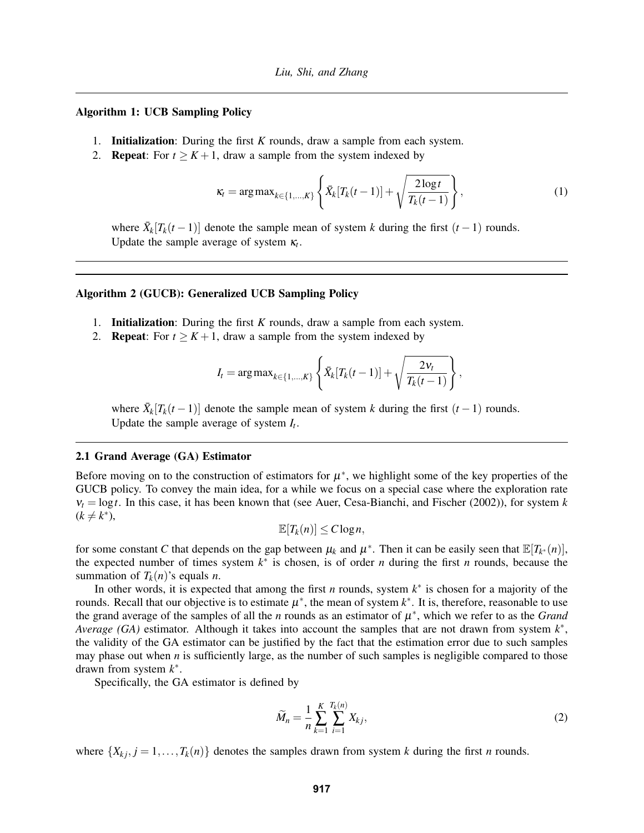### Algorithm 1: UCB Sampling Policy

- 1. Initialization: During the first *K* rounds, draw a sample from each system.
- 2. **Repeat**: For  $t \geq K + 1$ , draw a sample from the system indexed by

<span id="page-3-0"></span>
$$
\kappa_t = \arg \max_{k \in \{1, ..., K\}} \left\{ \bar{X}_k[T_k(t-1)] + \sqrt{\frac{2 \log t}{T_k(t-1)}} \right\},\tag{1}
$$

where  $\bar{X}_k[T_k(t-1)]$  denote the sample mean of system *k* during the first  $(t-1)$  rounds. Update the sample average of system  $\kappa_t$ .

### Algorithm 2 (GUCB): Generalized UCB Sampling Policy

- 1. Initialization: During the first *K* rounds, draw a sample from each system.
- 2. **Repeat:** For  $t \geq K + 1$ , draw a sample from the system indexed by

$$
I_t = \arg \max_{k \in \{1, ..., K\}} \left\{ \bar{X}_k[T_k(t-1)] + \sqrt{\frac{2v_t}{T_k(t-1)}} \right\},\,
$$

where  $\bar{X}_k[T_k(t-1)]$  denote the sample mean of system *k* during the first  $(t-1)$  rounds. Update the sample average of system *I<sup>t</sup>* .

### 2.1 Grand Average (GA) Estimator

Before moving on to the construction of estimators for  $\mu^*$ , we highlight some of the key properties of the GUCB policy. To convey the main idea, for a while we focus on a special case where the exploration rate  $v_t = \log t$ . In this case, it has been known that (see [Auer, Cesa-Bianchi, and Fischer \(2002\)\)](#page-11-9), for system *k*  $(k \neq k^*),$ 

$$
\mathbb{E}[T_k(n)] \leq C \log n,
$$

for some constant *C* that depends on the gap between  $\mu_k$  and  $\mu^*$ . Then it can be easily seen that  $\mathbb{E}[T_{k^*}(n)]$ , the expected number of times system  $k^*$  is chosen, is of order *n* during the first *n* rounds, because the summation of  $T_k(n)$ 's equals *n*.

In other words, it is expected that among the first *n* rounds, system  $k^*$  is chosen for a majority of the rounds. Recall that our objective is to estimate  $\mu^*$ , the mean of system  $k^*$ . It is, therefore, reasonable to use the grand average of the samples of all the *n* rounds as an estimator of  $\mu^*$ , which we refer to as the *Grand Average (GA)* estimator. Although it takes into account the samples that are not drawn from system *k* ∗ , the validity of the GA estimator can be justified by the fact that the estimation error due to such samples may phase out when  $n$  is sufficiently large, as the number of such samples is negligible compared to those drawn from system *k* ∗ .

Specifically, the GA estimator is defined by

$$
\widetilde{M}_n = \frac{1}{n} \sum_{k=1}^K \sum_{i=1}^{T_k(n)} X_{kj},
$$
\n(2)

where  $\{X_{kj}, j = 1, \ldots, T_k(n)\}\$  denotes the samples drawn from system *k* during the first *n* rounds.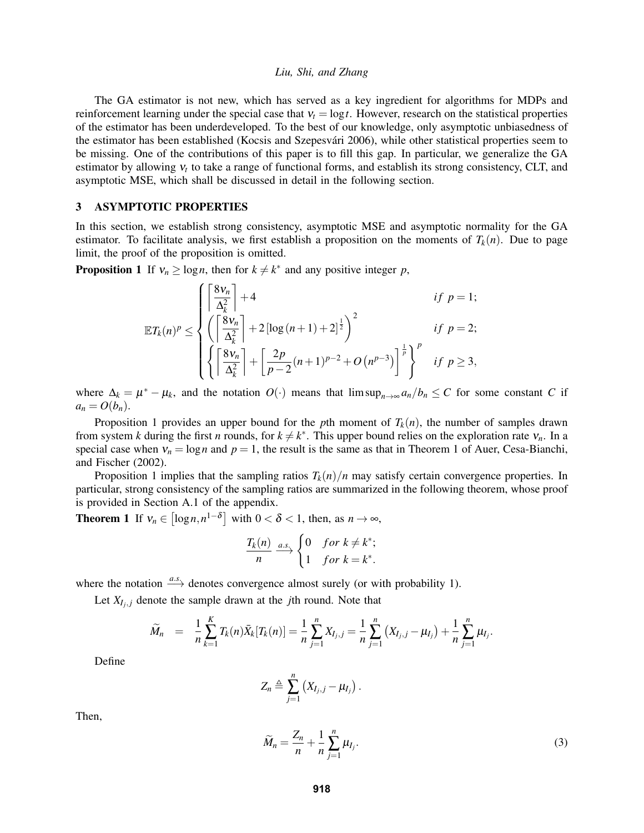The GA estimator is not new, which has served as a key ingredient for algorithms for MDPs and reinforcement learning under the special case that  $v_t = \log t$ . However, research on the statistical properties of the estimator has been underdeveloped. To the best of our knowledge, only asymptotic unbiasedness of the estimator has been established (Kocsis and Szepesvári 2006), while other statistical properties seem to be missing. One of the contributions of this paper is to fill this gap. In particular, we generalize the GA estimator by allowing  $v_t$  to take a range of functional forms, and establish its strong consistency, CLT, and asymptotic MSE, which shall be discussed in detail in the following section.

### <span id="page-4-0"></span>3 ASYMPTOTIC PROPERTIES

In this section, we establish strong consistency, asymptotic MSE and asymptotic normality for the GA estimator. To facilitate analysis, we first establish a proposition on the moments of  $T_k(n)$ . Due to page limit, the proof of the proposition is omitted.

<span id="page-4-1"></span>**Proposition 1** If  $v_n \ge \log n$ , then for  $k \ne k^*$  and any positive integer p,

$$
\mathbb{E}T_k(n)^p \leq \begin{cases} \left\lceil \frac{8v_n}{\Delta_k^2} \right\rceil + 4 & \text{if } p = 1; \\ \left( \left\lceil \frac{8v_n}{\Delta_k^2} \right\rceil + 2\left[\log\left(n+1\right) + 2\right]^{\frac{1}{2}} \right)^2 & \text{if } p = 2; \\ \left\{ \left\lceil \frac{8v_n}{\Delta_k^2} \right\rceil + \left\lceil \frac{2p}{p-2}(n+1)^{p-2} + O\left(n^{p-3}\right) \right\rceil^{\frac{1}{p}} \right\}^p & \text{if } p \geq 3, \end{cases}
$$

where  $\Delta_k = \mu^* - \mu_k$ , and the notation  $O(\cdot)$  means that  $\limsup_{n \to \infty} a_n/b_n \le C$  for some constant *C* if  $a_n = O(b_n)$ .

Proposition [1](#page-4-1) provides an upper bound for the *p*th moment of  $T_k(n)$ , the number of samples drawn from system *k* during the first *n* rounds, for  $k \neq k^*$ . This upper bound relies on the exploration rate  $v_n$ . In a special case when  $v_n = \log n$  and  $p = 1$ , the result is the same as that in Theorem 1 of [Auer, Cesa-Bianchi,](#page-11-9) [and Fischer \(2002\).](#page-11-9)

Proposition [1](#page-4-1) implies that the sampling ratios  $T_k(n)/n$  may satisfy certain convergence properties. In particular, strong consistency of the sampling ratios are summarized in the following theorem, whose proof is provided in Section [A.1](#page-8-0) of the appendix.

<span id="page-4-3"></span>**Theorem 1** If  $v_n \in [\log n, n^{1-\delta}]$  with  $0 < \delta < 1$ , then, as  $n \to \infty$ ,

$$
\frac{T_k(n)}{n} \xrightarrow{a.s.} \begin{cases} 0 & \text{for } k \neq k^*; \\ 1 & \text{for } k = k^*. \end{cases}
$$

where the notation  $\stackrel{a.s.}{\longrightarrow}$  denotes convergence almost surely (or with probability 1).

Let  $X_{I_j}$  denote the sample drawn at the *j*th round. Note that

$$
\widetilde{M}_n = \frac{1}{n} \sum_{k=1}^K T_k(n) \bar{X}_k[T_k(n)] = \frac{1}{n} \sum_{j=1}^n X_{I_j,j} = \frac{1}{n} \sum_{j=1}^n (X_{I_j,j} - \mu_{I_j}) + \frac{1}{n} \sum_{j=1}^n \mu_{I_j}.
$$

Define

$$
Z_n \triangleq \sum_{j=1}^n (X_{I_j,j} - \mu_{I_j}).
$$

Then,

<span id="page-4-2"></span>
$$
\widetilde{M}_n = \frac{Z_n}{n} + \frac{1}{n} \sum_{j=1}^n \mu_{I_j}.
$$
\n(3)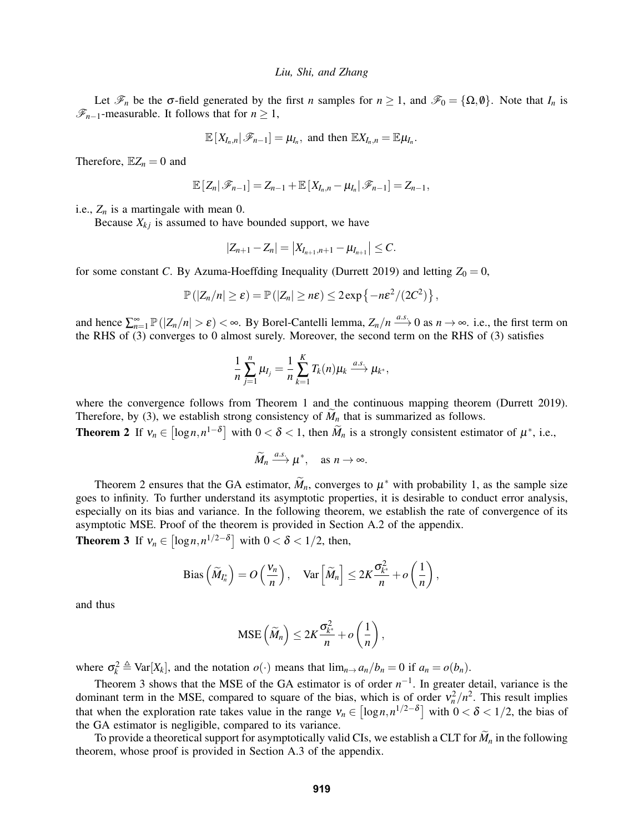Let  $\mathcal{F}_n$  be the  $\sigma$ -field generated by the first *n* samples for  $n \geq 1$ , and  $\mathcal{F}_0 = {\Omega, \emptyset}$ . Note that  $I_n$  is  $\mathcal{F}_{n-1}$ -measurable. It follows that for *n* ≥ 1,

$$
\mathbb{E}[X_{I_n,n}|\mathscr{F}_{n-1}] = \mu_{I_n}, \text{ and then } \mathbb{E}X_{I_n,n} = \mathbb{E}\mu_{I_n}.
$$

Therefore,  $\mathbb{E}Z_n = 0$  and

$$
\mathbb{E}\left[Z_n|\mathscr{F}_{n-1}\right]=Z_{n-1}+\mathbb{E}\left[X_{I_n,n}-\mu_{I_n}|\mathscr{F}_{n-1}\right]=Z_{n-1},
$$

i.e.,  $Z_n$  is a martingale with mean 0.

Because  $X_{ki}$  is assumed to have bounded support, we have

$$
|Z_{n+1}-Z_n|=|X_{I_{n+1},n+1}-\mu_{I_{n+1}}|\leq C.
$$

for some constant *C*. By Azuma-Hoeffding Inequality [\(Durrett 2019\)](#page-11-11) and letting  $Z_0 = 0$ ,

$$
\mathbb{P}(|Z_n/n| \geq \varepsilon) = \mathbb{P}(|Z_n| \geq n\varepsilon) \leq 2\exp\left\{-n\varepsilon^2/(2C^2)\right\},\,
$$

and hence  $\sum_{n=1}^{\infty} \mathbb{P}(|Z_n/n| > \varepsilon) < \infty$ . By Borel-Cantelli lemma,  $Z_n/n \xrightarrow{a.s.} 0$  as  $n \to \infty$ . i.e., the first term on the RHS of [\(3\)](#page-4-2) converges to 0 almost surely. Moreover, the second term on the RHS of [\(3\)](#page-4-2) satisfies

$$
\frac{1}{n}\sum_{j=1}^n\mu_{I_j}=\frac{1}{n}\sum_{k=1}^KT_k(n)\mu_k\stackrel{a.s.}{\longrightarrow}\mu_{k^*},
$$

where the convergence follows from Theorem [1](#page-4-3) and the continuous mapping theorem [\(Durrett 2019\)](#page-11-11). Therefore, by [\(3\)](#page-4-2), we establish strong consistency of  $M_n$  that is summarized as follows.

<span id="page-5-0"></span>**Theorem 2** If  $v_n \in [\log n, n^{1-\delta}]$  with  $0 < \delta < 1$ , then  $\widetilde{M}_n$  is a strongly consistent estimator of  $\mu^*$ , i.e.,

$$
\widetilde{M}_n \xrightarrow{a.s.} \mu^*, \quad \text{as } n \to \infty.
$$

Theorem [2](#page-5-0) ensures that the GA estimator,  $\widetilde{M}_n$ , converges to  $\mu^*$  with probability 1, as the sample size goes to infinity. To further understand its asymptotic properties, it is desirable to conduct error analysis, especially on its bias and variance. In the following theorem, we establish the rate of convergence of its asymptotic MSE. Proof of the theorem is provided in Section [A.2](#page-8-1) of the appendix.

<span id="page-5-1"></span>**Theorem 3** If  $v_n \in [\log n, n^{1/2-\delta}]$  with  $0 < \delta < 1/2$ , then,

Bias 
$$
\left(\widetilde{M}_{I_n^*}\right) = O\left(\frac{V_n}{n}\right)
$$
, Var  $\left[\widetilde{M}_n\right] \leq 2K \frac{\sigma_{k^*}^2}{n} + o\left(\frac{1}{n}\right)$ ,

and thus

$$
\text{MSE}\left(\widetilde{M}_n\right) \leq 2K \frac{\sigma_{k^*}^2}{n} + o\left(\frac{1}{n}\right),
$$

where  $\sigma_k^2 \triangleq \text{Var}[X_k]$ , and the notation  $o(\cdot)$  means that  $\lim_{n \to \infty} a_n/b_n = 0$  if  $a_n = o(b_n)$ .

Theorem [3](#page-5-1) shows that the MSE of the GA estimator is of order  $n^{-1}$ . In greater detail, variance is the dominant term in the MSE, compared to square of the bias, which is of order  $v_n^2/n^2$ . This result implies that when the exploration rate takes value in the range  $v_n \in [\log n, n^{1/2-\delta}]$  with  $0 < \delta < 1/2$ , the bias of the GA estimator is negligible, compared to its variance.

To provide a theoretical support for asymptotically valid CIs, we establish a CLT for  $\widetilde{M}_n$  in the following theorem, whose proof is provided in Section [A.3](#page-10-0) of the appendix.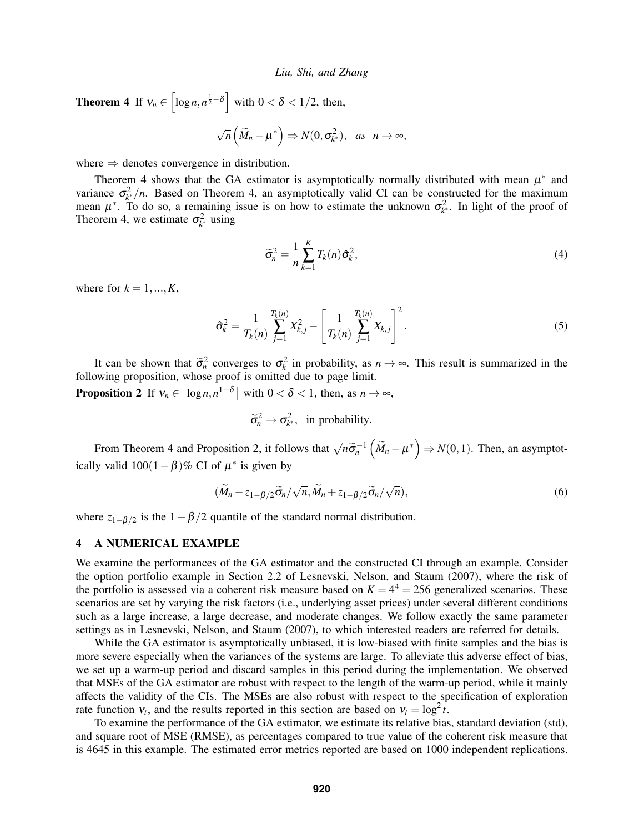<span id="page-6-1"></span>**Theorem 4** If  $v_n \in \left[\log n, n^{\frac{1}{2}-\delta}\right]$  with  $0 < \delta < 1/2$ , then,

$$
\sqrt{n}\left(\widetilde{M}_n-\mu^*\right)\Rightarrow N(0,\sigma_{k^*}^2), \text{ as } n\to\infty,
$$

where  $\Rightarrow$  denotes convergence in distribution.

Theorem [4](#page-6-1) shows that the GA estimator is asymptotically normally distributed with mean  $\mu^*$  and variance  $\sigma_{k^*}^2/n$ . Based on Theorem [4,](#page-6-1) an asymptotically valid CI can be constructed for the maximum mean  $\mu^*$ . To do so, a remaining issue is on how to estimate the unknown  $\sigma_{k^*}^2$ . In light of the proof of Theorem [4,](#page-6-1) we estimate  $\sigma_{k^*}^2$  using

$$
\widetilde{\sigma}_n^2 = \frac{1}{n} \sum_{k=1}^K T_k(n) \widehat{\sigma}_k^2, \tag{4}
$$

where for  $k = 1, ..., K$ ,

$$
\hat{\sigma}_k^2 = \frac{1}{T_k(n)} \sum_{j=1}^{T_k(n)} X_{k,j}^2 - \left[ \frac{1}{T_k(n)} \sum_{j=1}^{T_k(n)} X_{k,j} \right]^2.
$$
 (5)

It can be shown that  $\tilde{\sigma}_n^2$  converges to  $\sigma_k^2$  in probability, as  $n \to \infty$ . This result is summarized in the following proposition, whose proof is omitted due to page limit.

<span id="page-6-2"></span>**Proposition 2** If  $v_n \in [\log n, n^{1-\delta}]$  with  $0 < \delta < 1$ , then, as  $n \to \infty$ ,

$$
\widetilde{\sigma}_n^2 \to \sigma_{k^*}^2
$$
, in probability.

From Theorem [4](#page-6-1) and Proposition [2,](#page-6-2) it follows that  $\sqrt{n}\tilde{\sigma}_n^{-1}(\tilde{M}_n - \mu^*) \Rightarrow N(0,1)$ . Then, an asymptotically valid  $100(1 - \beta)$ % CI of  $\mu^*$  is given by

$$
(\widetilde{M}_n - z_{1-\beta/2}\widetilde{\sigma}_n/\sqrt{n}, \widetilde{M}_n + z_{1-\beta/2}\widetilde{\sigma}_n/\sqrt{n}),
$$
\n(6)

where  $z_{1-\beta/2}$  is the  $1-\beta/2$  quantile of the standard normal distribution.

### <span id="page-6-0"></span>4 A NUMERICAL EXAMPLE

We examine the performances of the GA estimator and the constructed CI through an example. Consider the option portfolio example in Section 2.2 of [Lesnevski, Nelson, and Staum \(2007\),](#page-11-4) where the risk of the portfolio is assessed via a coherent risk measure based on  $K = 4<sup>4</sup> = 256$  generalized scenarios. These scenarios are set by varying the risk factors (i.e., underlying asset prices) under several different conditions such as a large increase, a large decrease, and moderate changes. We follow exactly the same parameter settings as in [Lesnevski, Nelson, and Staum \(2007\),](#page-11-4) to which interested readers are referred for details.

While the GA estimator is asymptotically unbiased, it is low-biased with finite samples and the bias is more severe especially when the variances of the systems are large. To alleviate this adverse effect of bias, we set up a warm-up period and discard samples in this period during the implementation. We observed that MSEs of the GA estimator are robust with respect to the length of the warm-up period, while it mainly affects the validity of the CIs. The MSEs are also robust with respect to the specification of exploration rate function  $v_t$ , and the results reported in this section are based on  $v_t = \log^2 t$ .

To examine the performance of the GA estimator, we estimate its relative bias, standard deviation (std), and square root of MSE (RMSE), as percentages compared to true value of the coherent risk measure that is 4645 in this example. The estimated error metrics reported are based on 1000 independent replications.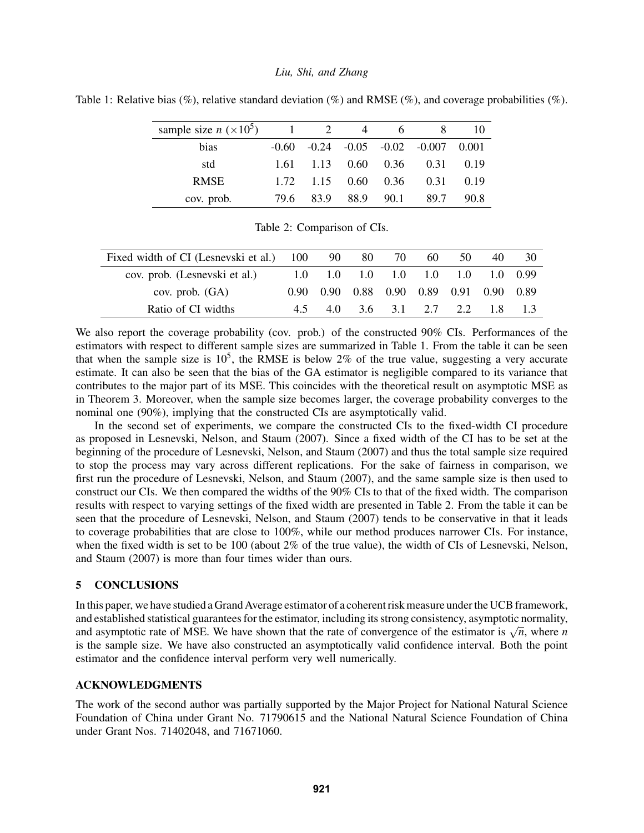| sample size $n (×105)$ 1 2 |      |      | $\overline{4}$ | 6.                          |                                                  | 10   |
|----------------------------|------|------|----------------|-----------------------------|--------------------------------------------------|------|
| bias                       |      |      |                |                             | $-0.60$ $-0.24$ $-0.05$ $-0.02$ $-0.007$ $0.001$ |      |
| std                        | 1.61 |      |                |                             | $1.13 \t 0.60 \t 0.36 \t 0.31$                   | 0.19 |
| <b>RMSE</b>                |      |      |                | $1.72$ $1.15$ $0.60$ $0.36$ | 0.31                                             | 0.19 |
| cov. prob.                 | 79.6 | 83.9 | 88.9 90.1      |                             | 89.7                                             | 90.8 |

<span id="page-7-1"></span>Table 1: Relative bias (%), relative standard deviation (%) and RMSE (%), and coverage probabilities (%).

<span id="page-7-2"></span>

|  | Table 2: Comparison of CIs. |  |
|--|-----------------------------|--|

| Fixed width of CI (Lesnevski et al.) 100 |  | 90 80 | 70 | 60 | 50                                                     | 40 |  |
|------------------------------------------|--|-------|----|----|--------------------------------------------------------|----|--|
| cov. prob. (Lesnevski et al.)            |  |       |    |    | $1.0$ $1.0$ $1.0$ $1.0$ $1.0$ $1.0$ $1.0$ $1.0$ $0.99$ |    |  |
| cov. prob. $(GA)$                        |  |       |    |    | 0.90 0.90 0.88 0.90 0.89 0.91 0.90 0.89                |    |  |
| Ratio of CI widths                       |  |       |    |    | 4.5 4.0 3.6 3.1 2.7 2.2 1.8                            |    |  |

We also report the coverage probability (cov. prob.) of the constructed 90% CIs. Performances of the estimators with respect to different sample sizes are summarized in Table [1.](#page-7-1) From the table it can be seen that when the sample size is  $10^5$ , the RMSE is below 2% of the true value, suggesting a very accurate estimate. It can also be seen that the bias of the GA estimator is negligible compared to its variance that contributes to the major part of its MSE. This coincides with the theoretical result on asymptotic MSE as in Theorem [3.](#page-5-1) Moreover, when the sample size becomes larger, the coverage probability converges to the nominal one (90%), implying that the constructed CIs are asymptotically valid.

In the second set of experiments, we compare the constructed CIs to the fixed-width CI procedure as proposed in [Lesnevski, Nelson, and Staum \(2007\).](#page-11-4) Since a fixed width of the CI has to be set at the beginning of the procedure of [Lesnevski, Nelson, and Staum \(2007\)](#page-11-4) and thus the total sample size required to stop the process may vary across different replications. For the sake of fairness in comparison, we first run the procedure of [Lesnevski, Nelson, and Staum \(2007\),](#page-11-4) and the same sample size is then used to construct our CIs. We then compared the widths of the 90% CIs to that of the fixed width. The comparison results with respect to varying settings of the fixed width are presented in Table [2.](#page-7-2) From the table it can be seen that the procedure of [Lesnevski, Nelson, and Staum \(2007\)](#page-11-4) tends to be conservative in that it leads to coverage probabilities that are close to 100%, while our method produces narrower CIs. For instance, when the fixed width is set to be  $100$  (about  $2\%$  of the true value), the width of CIs of [Lesnevski, Nelson,](#page-11-4) [and Staum \(2007\)](#page-11-4) is more than four times wider than ours.

### <span id="page-7-0"></span>5 CONCLUSIONS

In this paper, we have studied a Grand Average estimator of a coherent risk measure under the UCB framework, and established statistical guarantees for the estimator, including its strong consistency, asymptotic normality, and established statistical guarantees for the estimator, including its strong consistency, asymptotic flormanty, and asymptotic rate of MSE. We have shown that the rate of convergence of the estimator is  $\sqrt{n}$ , where *n* is the sample size. We have also constructed an asymptotically valid confidence interval. Both the point estimator and the confidence interval perform very well numerically.

### ACKNOWLEDGMENTS

The work of the second author was partially supported by the Major Project for National Natural Science Foundation of China under Grant No. 71790615 and the National Natural Science Foundation of China under Grant Nos. 71402048, and 71671060.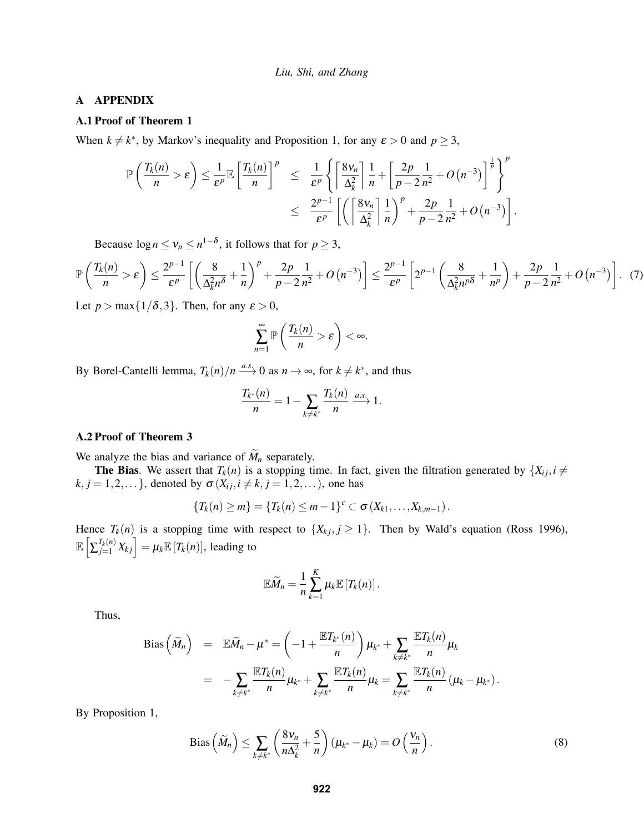### A APPENDIX

## <span id="page-8-0"></span>A.1 Proof of Theorem [1](#page-4-3)

When  $k \neq k^*$ , by Markov's inequality and Proposition [1,](#page-4-1) for any  $\varepsilon > 0$  and  $p \geq 3$ ,

$$
\mathbb{P}\left(\frac{T_k(n)}{n} > \varepsilon\right) \leq \frac{1}{\varepsilon^p} \mathbb{E}\left[\frac{T_k(n)}{n}\right]^p \leq \frac{1}{\varepsilon^p} \left\{\left[\frac{8v_n}{\Delta_k^2}\right] \frac{1}{n} + \left[\frac{2p}{p-2} \frac{1}{n^2} + O\left(n^{-3}\right)\right]^{\frac{1}{p}}\right\}^p
$$
  

$$
\leq \frac{2^{p-1}}{\varepsilon^p} \left[\left(\left[\frac{8v_n}{\Delta_k^2}\right] \frac{1}{n}\right)^p + \frac{2p}{p-2} \frac{1}{n^2} + O\left(n^{-3}\right)\right].
$$

Because  $\log n \leq v_n \leq n^{1-\delta}$ , it follows that for  $p \geq 3$ ,

$$
\mathbb{P}\left(\frac{T_k(n)}{n} > \varepsilon\right) \le \frac{2^{p-1}}{\varepsilon^p} \left[ \left(\frac{8}{\Delta_k^2 n^{\delta}} + \frac{1}{n}\right)^p + \frac{2p}{p-2} \frac{1}{n^2} + O\left(n^{-3}\right) \right] \le \frac{2^{p-1}}{\varepsilon^p} \left[2^{p-1} \left(\frac{8}{\Delta_k^2 n^{p\delta}} + \frac{1}{n^p}\right) + \frac{2p}{p-2} \frac{1}{n^2} + O\left(n^{-3}\right) \right].
$$
 (7)

Let  $p > \max\{1/\delta, 3\}$ . Then, for any  $\varepsilon > 0$ ,

$$
\sum_{n=1}^{\infty} \mathbb{P}\left(\frac{T_k(n)}{n} > \varepsilon\right) < \infty.
$$

By Borel-Cantelli lemma,  $T_k(n)/n \xrightarrow{a.s.} 0$  as  $n \to \infty$ , for  $k \neq k^*$ , and thus

$$
\frac{T_{k^*}(n)}{n} = 1 - \sum_{k \neq k^*} \frac{T_k(n)}{n} \xrightarrow{a.s.} 1.
$$

### <span id="page-8-1"></span>A.2 Proof of Theorem [3](#page-5-1)

We analyze the bias and variance of  $\widetilde{M}_n$  separately.

**The Bias.** We assert that  $T_k(n)$  is a stopping time. In fact, given the filtration generated by  $\{X_{ij}, i \neq j\}$  $k, j = 1, 2, \ldots$ }, denoted by  $\sigma(X_{ij}, i \neq k, j = 1, 2, \ldots)$ , one has

$$
\{T_k(n) \geq m\} = \{T_k(n) \leq m-1\}^c \subset \sigma(X_{k1},\ldots,X_{k,m-1}).
$$

Hence  $T_k(n)$  is a stopping time with respect to  $\{X_{kj}, j \geq 1\}$ . Then by Wald's equation [\(Ross 1996\)](#page-11-12),  $\mathbb{E}\left[\sum_{j=1}^{T_k(n)} X_{kj}\right] = \mu_k \mathbb{E}\left[T_k(n)\right]$ , leading to

$$
\mathbb{E}\widetilde{M}_n=\frac{1}{n}\sum_{k=1}^K\mu_k\mathbb{E}\left[T_k(n)\right].
$$

Thus,

Bias 
$$
(\widetilde{M}_n)
$$
 =  $\mathbb{E}\widetilde{M}_n - \mu^* = \left(-1 + \frac{\mathbb{E}T_{k^*}(n)}{n}\right)\mu_{k^*} + \sum_{k \neq k^*} \frac{\mathbb{E}T_k(n)}{n}\mu_k$   
 =  $-\sum_{k \neq k^*} \frac{\mathbb{E}T_k(n)}{n}\mu_{k^*} + \sum_{k \neq k^*} \frac{\mathbb{E}T_k(n)}{n}\mu_k = \sum_{k \neq k^*} \frac{\mathbb{E}T_k(n)}{n}(\mu_k - \mu_{k^*}).$ 

By Proposition [1,](#page-4-1)

<span id="page-8-2"></span>Bias 
$$
\left(\widetilde{M}_n\right) \le \sum_{k \ne k^*} \left(\frac{8v_n}{n\Delta_k^2} + \frac{5}{n}\right) (\mu_{k^*} - \mu_k) = O\left(\frac{v_n}{n}\right).
$$
 (8)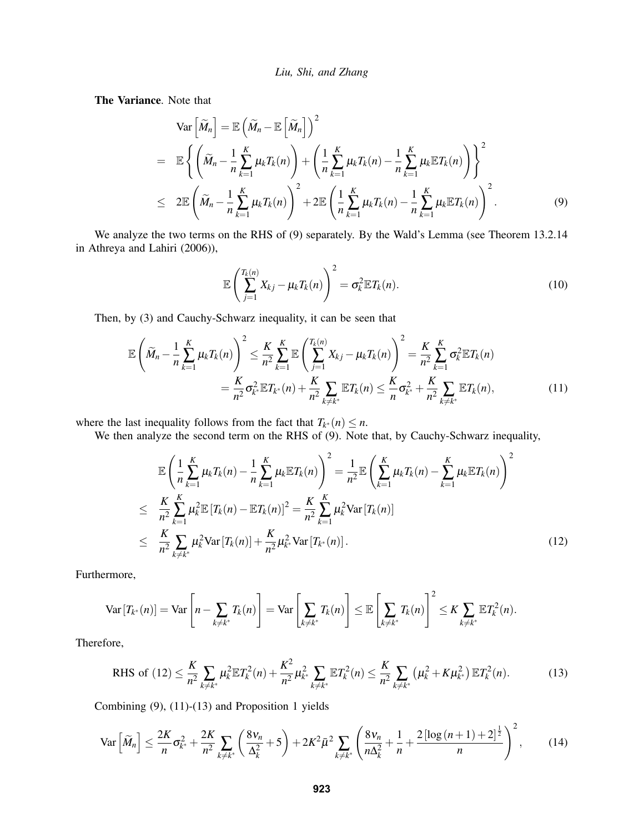The Variance. Note that

<span id="page-9-0"></span>
$$
\operatorname{Var}\left[\widetilde{M}_n\right] = \mathbb{E}\left(\widetilde{M}_n - \mathbb{E}\left[\widetilde{M}_n\right]\right)^2
$$
\n
$$
= \mathbb{E}\left\{\left(\widetilde{M}_n - \frac{1}{n}\sum_{k=1}^K \mu_k T_k(n)\right) + \left(\frac{1}{n}\sum_{k=1}^K \mu_k T_k(n) - \frac{1}{n}\sum_{k=1}^K \mu_k \mathbb{E}T_k(n)\right)\right\}^2
$$
\n
$$
\leq 2\mathbb{E}\left(\widetilde{M}_n - \frac{1}{n}\sum_{k=1}^K \mu_k T_k(n)\right)^2 + 2\mathbb{E}\left(\frac{1}{n}\sum_{k=1}^K \mu_k T_k(n) - \frac{1}{n}\sum_{k=1}^K \mu_k \mathbb{E}T_k(n)\right)^2.
$$
\n(9)

We analyze the two terms on the RHS of [\(9\)](#page-9-0) separately. By the Wald's Lemma (see Theorem 13.2.14 in [Athreya and Lahiri \(2006\)\)](#page-11-13),

$$
\mathbb{E}\left(\sum_{j=1}^{T_k(n)}X_{kj}-\mu_kT_k(n)\right)^2=\sigma_k^2\mathbb{E}T_k(n). \hspace{1cm} (10)
$$

Then, by [\(3\)](#page-4-2) and Cauchy-Schwarz inequality, it can be seen that

<span id="page-9-2"></span>
$$
\mathbb{E}\left(\widetilde{M}_{n} - \frac{1}{n}\sum_{k=1}^{K}\mu_{k}T_{k}(n)\right)^{2} \leq \frac{K}{n^{2}}\sum_{k=1}^{K}\mathbb{E}\left(\sum_{j=1}^{T_{k}(n)}X_{kj} - \mu_{k}T_{k}(n)\right)^{2} = \frac{K}{n^{2}}\sum_{k=1}^{K}\sigma_{k}^{2}\mathbb{E}T_{k}(n) \n= \frac{K}{n^{2}}\sigma_{k}^{2}\mathbb{E}T_{k}(n) + \frac{K}{n^{2}}\sum_{k\neq k^{*}}\mathbb{E}T_{k}(n) \leq \frac{K}{n}\sigma_{k^{*}}^{2} + \frac{K}{n^{2}}\sum_{k\neq k^{*}}\mathbb{E}T_{k}(n),
$$
\n(11)

where the last inequality follows from the fact that  $T_{k^*}(n) \leq n$ .

We then analyze the second term on the RHS of  $(9)$ . Note that, by Cauchy-Schwarz inequality,

<span id="page-9-1"></span>
$$
\mathbb{E}\left(\frac{1}{n}\sum_{k=1}^{K}\mu_{k}T_{k}(n)-\frac{1}{n}\sum_{k=1}^{K}\mu_{k}\mathbb{E}T_{k}(n)\right)^{2}=\frac{1}{n^{2}}\mathbb{E}\left(\sum_{k=1}^{K}\mu_{k}T_{k}(n)-\sum_{k=1}^{K}\mu_{k}\mathbb{E}T_{k}(n)\right)^{2}
$$
\n
$$
\leq \frac{K}{n^{2}}\sum_{k=1}^{K}\mu_{k}^{2}\mathbb{E}\left[T_{k}(n)-\mathbb{E}T_{k}(n)\right]^{2}=\frac{K}{n^{2}}\sum_{k=1}^{K}\mu_{k}^{2}\text{Var}\left[T_{k}(n)\right]
$$
\n
$$
\leq \frac{K}{n^{2}}\sum_{k\neq k^{*}}\mu_{k}^{2}\text{Var}\left[T_{k}(n)\right]+\frac{K}{n^{2}}\mu_{k^{*}}^{2}\text{Var}\left[T_{k^{*}}(n)\right].
$$
\n(12)

Furthermore,

$$
\text{Var}\left[T_{k^*}(n)\right] = \text{Var}\left[n - \sum_{k \neq k^*} T_k(n)\right] = \text{Var}\left[\sum_{k \neq k^*} T_k(n)\right] \leq \mathbb{E}\left[\sum_{k \neq k^*} T_k(n)\right]^2 \leq K \sum_{k \neq k^*} \mathbb{E}T_k^2(n).
$$

Therefore,

<span id="page-9-3"></span>RHS of (12) 
$$
\leq \frac{K}{n^2} \sum_{k \neq k^*} \mu_k^2 \mathbb{E} T_k^2(n) + \frac{K^2}{n^2} \mu_{k^*}^2 \sum_{k \neq k^*} \mathbb{E} T_k^2(n) \leq \frac{K}{n^2} \sum_{k \neq k^*} (\mu_k^2 + K \mu_{k^*}^2) \mathbb{E} T_k^2(n).
$$
 (13)

Combining [\(9\)](#page-9-0), [\(11\)](#page-9-2)-[\(13\)](#page-9-3) and Proposition [1](#page-4-1) yields

<span id="page-9-4"></span>
$$
\text{Var}\left[\widetilde{M}_n\right] \le \frac{2K}{n} \sigma_{k^*}^2 + \frac{2K}{n^2} \sum_{k \ne k^*} \left(\frac{8v_n}{\Delta_k^2} + 5\right) + 2K^2 \bar{\mu}^2 \sum_{k \ne k^*} \left(\frac{8v_n}{n\Delta_k^2} + \frac{1}{n} + \frac{2\left[\log\left(n+1\right) + 2\right]^{\frac{1}{2}}}{n}\right)^2, \tag{14}
$$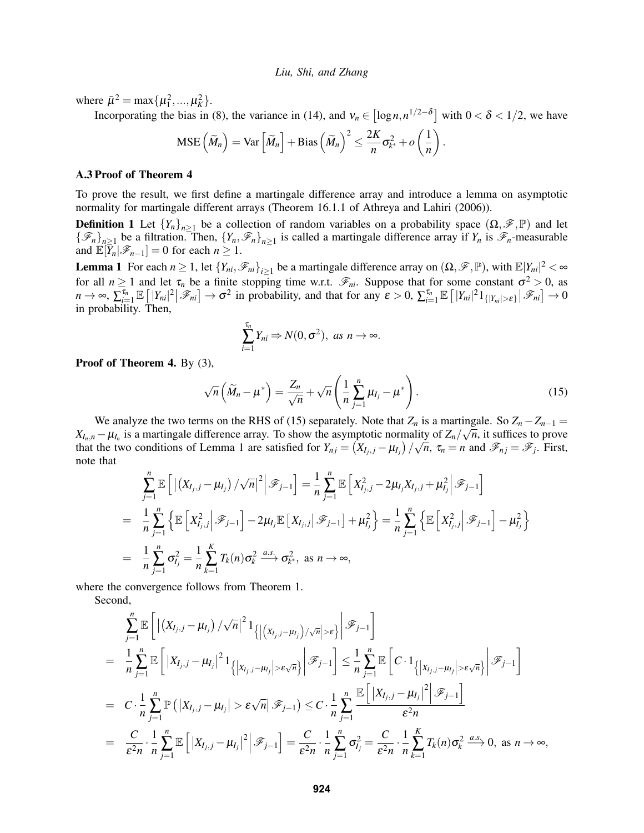where  $\bar{\mu}^2 = \max{\{\mu_1^2, ..., \mu_K^2\}}$ .

Incorporating the bias in [\(8\)](#page-8-2), the variance in [\(14\)](#page-9-4), and  $v_n \in [\log n, n^{1/2-\delta}]$  with  $0 < \delta < 1/2$ , we have

$$
\text{MSE}\left(\widetilde{M}_n\right) = \text{Var}\left[\widetilde{M}_n\right] + \text{Bias}\left(\widetilde{M}_n\right)^2 \le \frac{2K}{n}\sigma_{k^*}^2 + o\left(\frac{1}{n}\right)
$$

#### <span id="page-10-0"></span>A.3 Proof of Theorem [4](#page-6-1)

To prove the result, we first define a martingale difference array and introduce a lemma on asymptotic normality for martingale different arrays (Theorem 16.1.1 of [Athreya and Lahiri \(2006\)\)](#page-11-13).

**Definition 1** Let  ${Y_n}_{n \geq 1}$  be a collection of random variables on a probability space  $(\Omega, \mathscr{F}, \mathbb{P})$  and let  ${\{\mathscr{F}_n\}}_{n\geq1}$  be a filtration. Then,  ${Y_n, \mathscr{F}_n\}}_{n\geq1}$  is called a martingale difference array if  $Y_n$  is  $\mathscr{F}_n$ -measurable and  $\mathbb{E}[\bar{Y}_n|\mathscr{F}_{n-1}] = 0$  for each  $n \geq 1$ .

<span id="page-10-2"></span>**Lemma 1** For each  $n \ge 1$ , let  $\{Y_{ni}, \mathcal{F}_{ni}\}_{i \ge 1}$  be a martingale difference array on  $(\Omega, \mathcal{F}, \mathbb{P})$ , with  $\mathbb{E}|Y_{ni}|^2 < \infty$ for all  $n \ge 1$  and let  $\tau_n$  be a finite stopping time w.r.t.  $\mathscr{F}_{ni}$ . Suppose that for some constant  $\sigma^2 > 0$ , as  $n \to \infty$ ,  $\sum_{i=1}^{\tau_n} \mathbb{E} \left[ |Y_{ni}|^2 \, | \, \mathscr{F}_{ni} \right] \to \sigma^2$  in probability, and that for any  $\varepsilon > 0$ ,  $\sum_{i=1}^{\tau_n} \mathbb{E} \left[ |Y_{ni}|^2 \, 1_{\{|Y_{ni}| > \varepsilon\}} \, | \, \mathscr{F}_{ni} \right] \to 0$ in probability. Then,

$$
\sum_{i=1}^{\tau_n} Y_{ni} \Rightarrow N(0, \sigma^2), \text{ as } n \to \infty.
$$

Proof of Theorem [4.](#page-6-1) By [\(3\)](#page-4-2),

<span id="page-10-1"></span>
$$
\sqrt{n}\left(\widetilde{M}_n - \mu^*\right) = \frac{Z_n}{\sqrt{n}} + \sqrt{n}\left(\frac{1}{n}\sum_{j=1}^n\mu_{I_j} - \mu^*\right). \tag{15}
$$

.

We analyze the two terms on the RHS of [\(15\)](#page-10-1) separately. Note that  $Z_n$  is a martingale. So  $Z_n - Z_{n-1} =$  $X_{I_n,n} - \mu_{I_n}$  is a martingale difference array. To show the asymptotic normality of  $Z_n/\sqrt{n}$ , it suffices to prove that the two conditions of Lemma [1](#page-10-2) are satisfied for  $Y_{nj} = (X_{I_j,j} - \mu_{I_j}) / \sqrt{n}$ ,  $\tau_n = n$  and  $\mathscr{F}_{nj} = \mathscr{F}_j$ . First, note that

$$
\sum_{j=1}^{n} \mathbb{E} \left[ \left| \left( X_{I_j, j} - \mu_{I_j} \right) / \sqrt{n} \right|^2 \middle| \mathcal{F}_{j-1} \right] = \frac{1}{n} \sum_{j=1}^{n} \mathbb{E} \left[ X_{I_j, j}^2 - 2 \mu_{I_j} X_{I_j, j} + \mu_{I_j}^2 \middle| \mathcal{F}_{j-1} \right]
$$
\n
$$
= \frac{1}{n} \sum_{j=1}^{n} \left\{ \mathbb{E} \left[ X_{I_j, j}^2 \middle| \mathcal{F}_{j-1} \right] - 2 \mu_{I_j} \mathbb{E} \left[ X_{I_j, j} \middle| \mathcal{F}_{j-1} \right] + \mu_{I_j}^2 \right\} = \frac{1}{n} \sum_{j=1}^{n} \left\{ \mathbb{E} \left[ X_{I_j, j}^2 \middle| \mathcal{F}_{j-1} \right] - \mu_{I_j}^2 \right\}
$$
\n
$$
= \frac{1}{n} \sum_{j=1}^{n} \sigma_{I_j}^2 = \frac{1}{n} \sum_{k=1}^{K} T_k(n) \sigma_k^2 \xrightarrow{a.s.} \sigma_{k^*}^2, \text{ as } n \to \infty,
$$

where the convergence follows from Theorem [1.](#page-4-3)

Second,

$$
\sum_{j=1}^{n} \mathbb{E}\left[\left|\left(X_{I_j,j}-\mu_{I_j}\right)/\sqrt{n}\right|^2 1_{\left\{\left|\left(X_{I_j,j}-\mu_{I_j}\right)/\sqrt{n}\right|>\varepsilon\right\}}\right| \mathscr{F}_{j-1}\right]
$$
\n
$$
= \frac{1}{n} \sum_{j=1}^{n} \mathbb{E}\left[\left|X_{I_j,j}-\mu_{I_j}\right|^2 1_{\left\{\left|X_{I_j,j}-\mu_{I_j}\right|>\varepsilon\sqrt{n}\right\}}\right| \mathscr{F}_{j-1}\right] \leq \frac{1}{n} \sum_{j=1}^{n} \mathbb{E}\left[C \cdot 1_{\left\{\left|X_{I_j,j}-\mu_{I_j}\right|>\varepsilon\sqrt{n}\right\}}\right| \mathscr{F}_{j-1}\right]
$$
\n
$$
= C \cdot \frac{1}{n} \sum_{j=1}^{n} \mathbb{P}\left(\left|X_{I_j,j}-\mu_{I_j}\right|>\varepsilon\sqrt{n}|\mathscr{F}_{j-1}\right) \leq C \cdot \frac{1}{n} \sum_{j=1}^{n} \frac{\mathbb{E}\left[\left|X_{I_j,j}-\mu_{I_j}\right|^2\right| \mathscr{F}_{j-1}\right]}{\varepsilon^2 n}
$$
\n
$$
= \frac{C}{\varepsilon^2 n} \cdot \frac{1}{n} \sum_{j=1}^{n} \mathbb{E}\left[\left|X_{I_j,j}-\mu_{I_j}\right|^2\right| \mathscr{F}_{j-1}\right] = \frac{C}{\varepsilon^2 n} \cdot \frac{1}{n} \sum_{j=1}^{n} \sigma_{I_j}^2 = \frac{C}{\varepsilon^2 n} \cdot \frac{1}{n} \sum_{k=1}^{K} T_k(n) \sigma_k^2 \xrightarrow{a.s.} 0, \text{ as } n \to \infty,
$$